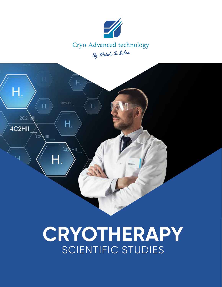

### Cryo Advanced technology By Mehdi Si Saber



# **CRYOTHERAPY** SCIENTIFIC STUDIES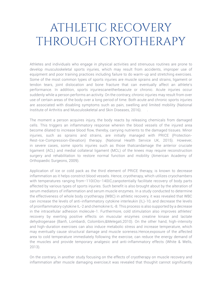### ATHLETIC RECOVERY THROUGH CRYOTHERAPY

Athletes and individuals who engage in physical activities and strenuous routines are prone to develop musculoskeletal sports injuries, which may result from accidents, improper use of equipment and poor training practices including failure to do warm-up and stretching exercises. Some of the most common types of sports injuries are muscle sprains and strains, ligament or tendon tears, joint dislocation and bone fracture that can eventually affect an athlete's performance. In addition, sports injuriescaneitherbeacute or chronic. Acute injuries occur suddenly while a person performs an activity. On the contrary, chronic injuries may result from over use of certain areas of the body over a long period of time. Both acute and chronic sports injuries are associated with disabling symptoms such as pain, swelling and limited mobility (National Institute of Arthritis and Musculoskeletal and Skin Diseases, 2016). .

The moment a person acquires injury, the body reacts by releasing chemicals from damaged cells. This triggers an inflammatory response wherein the blood vessels of the injured area become dilated to increase blood flow, thereby, carrying nutrients to the damaged tissues. Minor injuries, such as sprains and strains, are initially managed with PRICE (Protection-Rest-Ice-Compression-Elevation) therapy. (National Health Service UK, 2015). However, in severe cases, some sports injuries such as those thatcandamage the anterior cruciate ligament (ACL) and medial collateral ligament (MCL) of the knees may require reconstruction surgery and rehabilitation to restore normal function and mobility (American Academy of Orthopaedic Surgeons, 2009).

Application of ice or cold pack as the third element of PRICE therapy, is known to decrease inflammation as it helps constrict blood vessels. Hence, cryotherapy, which utilizes cryochambers with temperatures ranging from−1100Cto−1400C,canpotentially facilitate recovery of body parts affected by various types of sports injuries. Such benefit is also brought about by the alteration of serum mediators of inflammation and serum muscle enzymes. In a study conducted to determine the effectiveness of whole body cryotherapy (WBC) in athletic recovery, it was revealed that WBC can increase the levels of anti-inflammatory cytokine interleukin (IL)-10, and decrease the levels of proinflammatory cytokine IL-2 and chemokine IL-8. This process is also supported by a decrease in the intracellular adhesion molecule-1. Furthermore, cold stimulation also improves athletes' recovery by exerting positive effects on muscular enzymes creatine kinase and lactate dehydrogenase (Banfi, Lombardi, Colombini,&Melegati,2010). On the other hand, high-intensity and high-duration exercises can also induce metabolic stress and increase temperature, which may eventually cause structural damage and muscle soreness.Hence,exposure of the affected area to cold temperature immediately following the exercise, can reduce the energy demand of the muscles and provide temporary analgesic and anti-inflammatory effects (White & Wells, 2013).

On the contrary, in another study focusing on the effects of cryotherapy on muscle recovery and inflammation after muscle damaging exercise,it was revealed that thoughit cannot significantly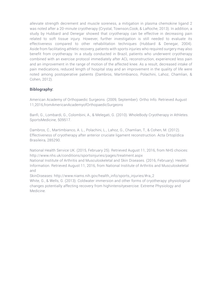alleviate strength decrement and muscle soreness, a mitigation in plasma chemokine ligand 2 was noted after a 20-minute cryotherapy (Crystal, Townson,Cook, & LaRoche, 2013). In addition, a study by Hubbard and Denegar showed that cryotherapy can be effective in decreasing pain related to soft tissue injury. However, further investigation is still needed to evaluate its effectiveness compared to other rehabilitation techniques (Hubbard & Denegar, 2004). Aside from facilitating athletic recovery, patients with sports injuries who required surgery may also benefit from cryotherapy. In a study conducted in Brazil, patients who underwent cryotherapy combined with an exercise protocol immediately after ACL reconstruction, experienced less pain and an improvement in the range of motion of the affected knee. As a result, decreased intake of pain medications, reduced length of hospital stay and an improvement in the quality of life were noted among postoperative patients (Dambros, Martimbianco, Polachini, Lahoz, Chamlian, & Cohen, 2012).

#### **Biblography:**

American Academy of Orthopaedic Surgeons. (2009, September). Ortho Info. Retrieved August 11,2016,fromAmericanAcademyofOrthopaedicSurgeons

Banfi, G., Lombardi, G., Colombini, A., & Melegati, G. (2010). WholeBody Cryotherapy in Athletes. SportsMedicine, 509517.

Dambros, C., Martimbianco, A. L., Polachini, L., Lahoz, G., Chamlian, T., & Cohen, M. (2012). Effectiveness of cryotherapy after anterior cruciate ligament reconstruction. Acta OrtoplIdica Brasileira, 285290.

National Health Service UK. (2015, February 25). Retrieved August 11, 2016, from NHS choices: http://www.nhs.uk/conditions/sportsinjuries/pages/treatment.aspx

National Institute of Arthritis and Musculoskeletal and Skin Diseases. (2016, February). Health Information. Retrieved August 11, 2016, from National Institute of Arthritis and Musculoskeletal and

SkinDiseases: http://www.niams.nih.gov/health\_info/sports\_injuries/#ra\_2

White, G., & Wells, G. (2013). Coldwater immersion and other forms of cryotherapy: physiological changes potentially affecting recovery from highintensityexercise. Extreme Physiology and Medicine.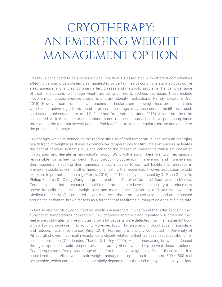## CRYOTHERAPY: AN EMERGING WEIGHT MANAGEMENT OPTION

Obesity is considered to be a serious global health crisis associated with different comorbidities affecting various organ systems as manifested by certain health conditions such as obstructive sleep apnea, malignancies, coronary artery disease and metabolic problems. Hence, wide range of treatment options to manage weight are being utilized to address this issue. These include lifestyle modification, exercise programs and anti-obesity medications (Hamdy, Uwaifo, & Oral, 2016). However, some of these approaches, particularly certain weight-loss products tainted with hidden active ingredients found in prescription drugs, may pose serious health risks such as cardiac problems and stroke (U.S. Food and Drug Administration, 2015). Aside from the risks associated with these treatment options, some of these approaches have poor compliance rates due to the fact that several patients find it difficult to sustain regular exercise and adhere to the prescribed diet regimen.

Cryotherapy, which is defined as the therapeutic use of cold temperature, has been an emerging health trend in weight loss. It uses extremely low temperatures to stimulate skin sensors, activates the central nervous system (CNS) and enhance the release of endorphins which are known to inhibit pain and elevate an individual's mood (US Cryotherapy). There are two mechanisms responsible for achieving weight loss through cryotherapy – shivering and nonshivering thermogenesis. Shivering thermogenesis allows muscles to contract facilitate an increase in energy metabolism. On the other hand, nonshivering thermogenesis involves adaptation to cold exposure to promote fat burning (Patrick, 2016). In 2013, a study conducted by Dr. Rana Gupta, Dr. Philipp Scherer, Dr. Qiong Wang and graduate student Caroline Tao in UT Southwestern Medical Center, revealed that in response to cold temperature, adults have the capability to produce new brown fat cells essential in weight loss and maintenance (University of Texas Southwestern Medical Center, 2013). Compared to white fat cells that store excess calories and are deposited around the abdomen, brown fat acts as a furnace that facilitates burning of calories at a high rate.

In fact, in another study conducted by Swedish researchers, it was found that after exposing their subjects to temperatures between  $63 - 66$  degrees Fahrenheit and repeatedly submerging their feet in ice cold water for five minutes, brown fat deposits were detected from their subjects' body with a 15-fold increase in its activity. Moreover, brown fat also aids in blood sugar metabolism and reduces insulin resistance (King, 2014). Furthermore, a study conducted in University of Pittsburgh showed that insulin resistance is closely related to thigh adipose tissue distribution or cellulite formation (Goodpaster, Thaete, & Kelley, 2000). Hence, increasing brown fat deposit through exposure to cold temperature, such as cryotherapy, can help prevent these problems. Cryotherapy also offers a wide range of benefits to achieve weight loss. One of these is that it is considered as an effective and safe weight management option as it helps burn  $500 - 800$  kcal per session, which can increase exponentially depending on the level of physical activity. In fact,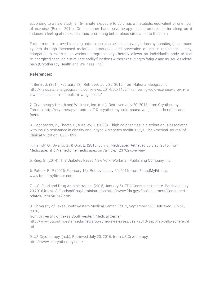according to a new study, a 15-minute exposure to cold has a metabolic equivalent of one hour of exercise (Berlin, 2014). On the other hand, cryotherapy, also promotes better sleep as it induces a feeling of relaxation, thus, promoting better blood circulation to the brain.

Furthermore, improved sleeping pattern can also be linked to weight loss by boosting the immune system through increased melatonin production and prevention of insulin resistance. Lastly, compared to exercise or workout programs, cryotherapy allows an individual's body to feel re-energized because it stimulate bodily functions without resulting to fatigue and musculoskeletal pain (Cryotherapy Health and Wellness, Inc.).

#### **References:**

1. Berlin, J. (2014, February 13). Retrieved July 20, 2016, from National Geographic: http://news.nationalgeographic.com/news/2014/02/140211-shivering-cold-exercise-brown-fa t-white-fat-irisin-metabolism-weight-loss/

2. Cryotherapy Health and Wellness, Inc. (n.d.). Retrieved July 20, 2016, from Cryotherapy Toronto: http://cryotherapytoronto.ca/10-cryotherapy-cold-sauna-weight-loss-benefits-andfacts/

3. Goodpaster, B., Thaete, L., & Kelley, D. (2000). Thigh adipose tissue distribution is associated with insulin resistance in obesity and in type 2 diabetes mellitus1,2,3. The Americal Journal of Clinical Nutrition , 885 - 892.

4. Hamdy, O., Uwaifo, G., & Oral, E. (2016, July 6).Medscape. Retrieved July 20, 2016, from Medscape: http://emedicine.medscape.com/article/123702-overview

5. King, G. (2014). The Diabetes Reset. New York: Workman Publishing Company, Inc.

6. Patrick, R. P. (2016, February 15). Retrieved July 20, 2016, from FoundMyFitness: www.foundmyfitness.com

7. U.S. Food and Drug Administration. (2015, January 5). FDA Consumer Update. Retrieved July 20,2016,fromU.S.FoodandDrugAdministration:http://www.fda.gov/ForConsumers/ConsumerU pdates/ucm246742.html

8. University of Texas Southwestern Medical Center. (2013, September 26). Retrieved July 20, 2016,

from University of Texas Southwestern Medical Center:

http://www.utsouthwestern.edu/newsroom/news-releases/year-2013/sept/fat-cells-scherer.ht ml

9. US Cryotherapy. (n.d.). Retrieved July 20, 2016, from US Cryotherapy: http://www.uscryotherapy.com/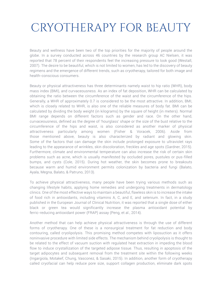### CRYOTHERAPY FOR BEAUTY

Beauty and wellness have been two of the top priorities for the majority of people around the globe. In a survey conducted across 46 countries by the research group AC Nielsen, it was reported that 78 percent of their respondents feel the increasing pressure to look good (Westall, 2007). The desire to be beautiful, which is not limited to women, has led to the discovery of beauty regimens and the emergence of different trends, such as cryotherapy, tailored for both image and health-conscious consumers.

Beauty or physical attractiveness has three determinants namely waist to hip ratio (WHR), body mass index (BMI), and curvaceousness. As an index of fat deposition, WHR can be calculated by obtaining the ratio between the circumference of the waist and the circumference of the hips. Generally, a WHR of approximately 0.7 is considered to be the most attractive. In addition, BMI, which is closely related to WHR, is also one of the reliable measures of body fat. BMI can be calculated by dividing the body weight (in kilograms) by the square of height (in meters). Normal BMI range depends on different factors such as gender and race. On the other hand, curvaceousness, defined as the degree of 'hourglass' shape or the size of the bust relative to the circumference of the hips and waist, is also considered as another marker of physical attractiveness particularly among women (Fisher & Voracek, 2006). Aside from those mentioned above, beauty is also characterized by radiant and glowing skin. Some of the factors that can damage the skin include prolonged exposure to ultraviolet rays leading to the appearance of wrinkles, skin discoloration, freckles and age spots (Gardner, 2015). Furthermore, climate and environmental temperature can also increase the risk of certain skin problems such as acne, which is usually manifested by occluded pores, pustules or pus-filled bumps, and cysts (Cole, 2015). During hot weather, the skin becomes prone to breakouts because warm and humid environment permits colonization by bacteria and fungi (Balato, Ayala, Megna, Balato, & Patruno, 2013).

To achieve physical attractiveness, many people have been trying various methods such as changing lifestyle habits, applying home remedies and undergoing treatments in dermatology clinics. One of the most effective ways to maintain a beautiful, flawless skin is to increase the intake of food rich in antioxidants, including vitamins A, C, and E, and selenium. In fact, in a study published in the European Journal of Clinical Nutrition, it was reported that a single dose of either black or green tea would significantly increase the plasma antioxidant potential by ferric-reducing antioxidant power (FRAP) assay (Peng, et al., 2014).

Another method that can help achieve physical attractiveness is through the use of different forms of cryotherapy. One of these is a nonsurgical treatment for fat reduction and body contouring, called cryolipolysis. This promising method competes with liposuction as it offers noninvasive procedure with limited side effects. The mechanism behind cryolipolysis is thought to be related to the effect of vacuum suction with regulated heat extraction in impeding the blood flow to induce crystallization of the targeted adipose tissue. Thus, resulting in apoptosis of the target adipocytes and subsequent removal from the treatment site within the following weeks (Ingargiola, Motakef, Chung, Vasconez, & Sasaki, 2015). In addition, another form of cryotherapy called cryofacial can help reduce pore size, support collagen production, eliminate dark spots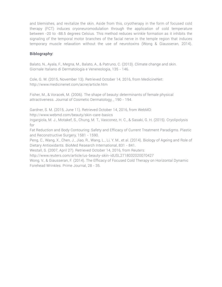and blemishes, and revitalize the skin. Aside from this, cryotherapy in the form of focused cold therapy (FCT) induces cryoneuromodulation through the application of cold temperature between -20 to -88.5 degrees Celsius. This method reduces wrinkle formation as it inhibits the signaling of the temporal motor branches of the facial nerve in the temple region that induces temporary muscle relaxation without the use of neurotoxins (Wong & Giausseran, 2014).

#### **Biblography:**

Balato, N., Ayala, F., Megna, M., Balato, A., & Patruno, C. (2013). Climate change and skin. Giornale Italiano di Dermatologia e Venereologia, 135 - 146.

Cole, G. W. (2015, November 13). Retrieved October 14, 2016, from MedicineNet: http://www.medicinenet.com/acne/article.htm

Fisher, M., & Voracek, M. (2006). The shape of beauty: determinants of female physical attractiveness. Journal of Cosmetic Dermatology, , 190 - 194.

Gardner, S. M. (2015, June 11). Retrieved October 14, 2016, from WebMD:

http://www.webmd.com/beauty/skin-care-basics

Ingargiola, M. J., Motakef, S., Chung, M. T., Vasconez, H. C., & Sasaki, G. H. (2015). Cryolipolysis for

Fat Reduction and Body Contouring: Safety and Efficacy of Current Treatment Paradigms. Plastic and Reconstructive Surgery, 1581 - 1590.

Peng, C., Wang, X., Chen, J., Jiao, R., Wang, L., Li, Y. M., et al. (2014). Biology of Ageing and Role of Dietary Antioxidants. BioMed Research International, 831 - 841.

Westall, S. (2007, April 27). Retrieved October 14, 2016, from Reuters:

http://www.reuters.com/article/us-beauty-skin-idUSL2718032020070427

Wong, V., & Giausseran, F. (2014). The Efficacy of Focused Cold Therapy on Horizontal Dynamic Forehead Wrinkles. Prime Journal, 28 - 35.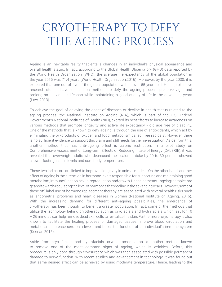### CRYOTHERAPY TO DEFY THE AGEING PROCESS

Ageing is an inevitable reality that entails changes in an individual's physical appearance and overall health status. In fact, according to the Global Health Observatory (GHO) data reported by the World Health Organization (WHO), the average life expectancy of the global population in the year 2015 was 71.4 years (World Health Organization,2016). Moreover, by the year 2030, it is expected that one out of five of the global population will be over 65 years old. Hence, extensive research studies have focused on methods to defy the ageing process, preserve vigor and prolong an individual's lifespan while maintaining a good quality of life in the advancing years (Low, 2013).

To achieve the goal of delaying the onset of diseases or decline in health status related to the ageing process, the National Institute on Ageing (NIA), which is part of the U.S. Federal Government's National Institutes of Health (NIH), exerted its best efforts to increase awareness on various methods that promote longevity and active life expectancy - old age free of disability. One of the methods that is known to defy ageing is through the use of antioxidants, which act by eliminating the by-products of oxygen and food metabolism called 'free radicals'. However, there is no sufficient evidence to support this claim and still needs further investigation. Aside from this, another method that has anti-ageing effect is caloric restriction. In a pilot study on Comprehensive Assessment of Long-term Effects of Reducing Intake of Energy (CALERIE), it was revealed that overweight adults who decreased their caloric intake by 20 to 30 percent showed a lower fasting insulin levels and core body temperature.

These two indicators are linked to improved longevity in animal models. On the other hand, another effect of ageing is the alteration in hormone levels responsible for supporting and maintaining good metabolism, immune function, sexual reproduction, and growth. Hence, some anti-ageing therapies are gearedtowards regulating the level of hormones that decline in the advancing years. However, some of these off-label use of hormone replacement therapy are associated with several health risks such as endometrial problems and heart diseases in women (National Institute on Ageing, 2016). With the increasing demand for different anti-ageing possibilities, the emergence of cryotherapy has been thought to benefit a greater population. In fact, some of the methods that utilize the technology behind cryotherapy such as cryofacials and hydrafacials which last for 10 – 25 minutes can help remove dead skin cells to revitalize the skin. Furthermore, cryotherapy is also known to facilitate the healing process of damaged tissues, improve blood circulation and metabolism, increase serotonin levels and boost the function of an individual's immune system (Keenan,2015).

Aside from cryo facials and hydrafacials, cryoneuromodulation is another method known to remove one of the most common signs of ageing, which is wrinkles. Before, this procedure is only done through cryosurgery, which was then associated with possible permanent damage to nerve function. With recent studies and advancement in technology, it was found out that same desired effect can be achieved by using moderate temperature. Hence, leading to the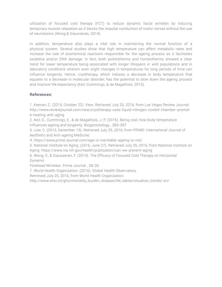utilization of focused cold therapy (FCT) to reduce dynamic facial wrinkles by inducing temporary muscle relaxation as it blocks the impulse conduction of motor nerves without the use of neurotoxins (Wong & Giausseran, 2014).

In addition, temperature also plays a vital role in maintaining the normal function of a physical system. Several studies show that high temperature can affect metabolic rates and increase the rate of biochemical reactions responsible for the ageing process as it facilitates oxidative and/or DNA damage. In fact, both poikilotherms and homeotherms showed a clear trend for lower temperature being associated with longer lifespans in wild populations and in laboratory conditions wherein even slight changes in temperatures for long periods of time can influence longevity. Hence, cryotherapy, which induces a decrease in body temperature that equates to a decrease in molecular disorder, has the potential to slow down the ageing process and improve life expectancy (Keil, Cummings, & de Magalhūes, 2015).

#### **References:**

1. Keenan, C. (2015, October 22). View. Retrieved July 25, 2016, from Las Vegas Review Journal: http://www.reviewjournal.com/view/cryotherapy-uses-liquid-nitrogen-cooled-chamber-promot e-healing-anti-aging

2. Keil, G., Cummings, E., & de Magalhūes, J. P. (2015). Being cool: how body temperature influences ageing and longevity. Biogerontology , 383-397.

3. Low, C. (2013, December 13). Retrieved July 25, 2016, from PRIME: International Journal of Aesthetic and Anti-ageing Medicine:

4. https://www.prime-journal.com/age-is-inevitable-ageing-is-not/

5. National Institute on Aging. (2016, June 27). Retrieved July 25, 2016, from National Institute on Aging: https://www.nia.nih.gov/health/publication/can-we-prevent-aging

6. Wong, V., & Giausseran, F. (2014). The Efficacy of Focused Cold Therapy on Horizontal Dynamic

Forehead Wrinkles. Prime Journal , 28-35.

7. World Health Organization. (2016). Global Health Observatory.

Retrieved July 25, 2016, from World Health Organization:

http://www.who.int/gho/mortality\_burden\_disease/life\_tables/situation\_trends/ en/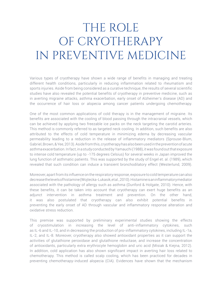## THE ROLE OF CRYOTHERAPY IN PREVENTIVE MEDICINE

Various types of cryotherapy have shown a wide range of benefits in managing and treating different health conditions, particularly in reducing inflammation related to rheumatism and sports injuries. Aside from being considered as a curative technique, the results of several scientific studies have also revealed the potential benefits of cryotherapy in preventive medicine, such as in averting migraine attacks, asthma exacerbation, early onset of Alzheimer's disease (AD) and the occurrence of hair loss or alopecia among cancer patients undergoing chemotherapy.

One of the most common applications of cold therapy is in the management of migraine. Its benefits are associated with the cooling of blood passing through the intracranial vessels, which can be achieved by applying two freezable ice packs on the neck targeting the carotid arteries. This method is commonly referred to as targeted neck cooling. In addition, such benefits are also attributed to the effects of cold temperature in minimizing edema by decreasing vascular permeability leading to a reduction in the release of inflammatory mediators (Sprouse-Blum, Gabriel, Brown, & Yee, 2013). Aside from this, cryotherapy has also been used in the prevention of acute asthma exacerbation. In fact, in a study conducted by Yamauchi (1988), it was found out that exposure to intense cold temperature (up to -175 degrees Celsius) for several weeks in Japan improved the lung function of asthmatic patients. This was supported by the study of Engel et. al. (1989), which revealed that such condition can induce a transient bronchodilatory effect (Westerlund, 2009).

Moreover, apart from its influence on the respiratory response, exposure to cold temperature can also decrease the levels of histamine (Wojtecka-Lukasik, et al., 2010). Histamine is an inflammatory mediator associated with the pathology of allergy such as asthma (Dunford & Holgate, 2010). Hence, with these benefits, it can be taken into account that cryotherapy can exert huge benefits as an adjunct intervention in asthma treatment and prevention. On the other hand, it was also postulated that cryotherapy can also exhibit potential benefits in preventing the early onset of AD through vascular and inflammatory response alteration and oxidative stress reduction.

This premise was supported by preliminary experimental studies showing the effects of cryostimulation in increasing the level of anti-inflammatory cytokines, such as IL-6 and IL-10, and in decreasing the production of pro-inflammatory cytokines, including IL-1a, IL-2, and IL-8. Moreover, cryotherapy also showed antioxidant properties as it can support the activities of glutathione peroxidase and glutathione reductase, and increase the concentration of antioxidants, particularly extra erythrocyte hemoglobin and uric acid (Misiak & Kiejna, 2012). In addition, cold application has also shown significant impact in averting hair loss related to chemotherapy. This method is called scalp cooling, which has been practiced for decades in preventing chemotherapy-induced alopecia (CIA). Evidences have shown that the mechanism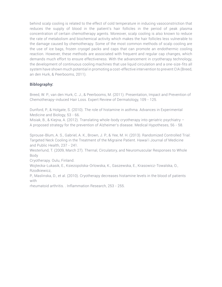behind scalp cooling is related to the effect of cold temperature in inducing vasoconstriction that reduces the supply of blood in the patient's hair follicles in the period of peak plasma concentration of certain chemotherapy agents. Moreover, scalp cooling is also known to reduce the rate of metabolism and biochemical activity which makes the hair follicles less vulnerable to the damage caused by chemotherapy. Some of the most common methods of scalp cooling are the use of ice bags, frozen cryogel packs and caps that can promote an endothermic cooling reaction. However, these methods are associated with frequent and regular cap changes, which demands much effort to ensure effectiveness. With the advancement in cryotherapy technology, the development of continuous cooling machines that use liquid circulation and a one-size-fits all system have shown much potential in promoting a cost-effective intervention to prevent CIA (Breed, an den Hurk, & Peerbooms, 2011).

#### **Biblography:**

Breed, W. P., van den Hurk, C. J., & Peerbooms, M. (2011). Presentation, Impact and Prevention of Chemotherapy-induced Hair Loss. Expert Review of Dermatology, 109 - 125.

Dunford, P., & Holgate, S. (2010). The role of histamine in asthma. Advances in Experimental Medicine and Biology, 53 - 66.

Misiak, B., & Kiejna, A. (2012). Translating whole-body cryotherapy into geriatric psychiatry – A proposed strategy for the prevention of Alzheimer's disease. Medical Hypotheses, 56 - 58.

Sprouse-Blum, A. S., Gabriel, A. K., Brown, J. P., & Yee, M. H. (2013). Randomized Controlled Trial: Targeted Neck Cooling in the Treatment of the Migraine Patient. Hawai'i Journal of Medicine and Public Health, 237 - 241.

Westerlund, T. (2009, March 27). Thernal, Circulatory, and Neuromuscular Responses to Whole Body

Cryotherapy. Oulu, Finland.

Wojtecka-Lukasik, E., Ksiezopolska-Orlowska, K., Gaszewska, E., Krasowicz-Towalska, O., Rzodkiewicz,

P., Maslinska, D., et al. (2010). Cryotherapy decreases histamine levels in the blood of patients with

rheumatoid arthritis. . Inflammation Research, 253 - 255.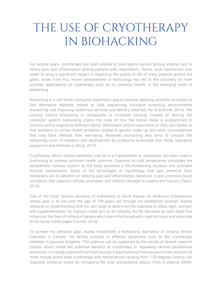### THE USE OF CRYOTHERAPY IN BIOHACKING

For several years, cryotherapy has been utilized to treat sports injuries among athletes and to relieve pain and inflammation among patients with rheumatism. Hence, such intervention was noted to bring a significant impact in improving the quality of life of many patients around the globe. Aside from this, recent advancement in technology has led to the discovery of more complex applications of cryotherapy such as its potential benefit in the emerging trend of biohacking.

Biohacking is a self-driven biological experiment geared towards applying scientific principles to find alternative methods related to DNA sequencing, microbial screening, environmental monitoring, and improving healthcare services and delivery (Seyfried, Pei, & Schmidt, 2014). The concept behind biohacking is comparable to computer hacking. Instead of altering the computer system, biohacking cracks the code of how the human body is programmed to function and to respond to different stimuli. Biohackers tend to experiment on their own bodies to find solutions to certain health problems related to genetic make-up and other circumstances that may have affected their well-being. Moreover, biohacking also aims to conquer the ballooning costs of research and development by producing accessible and cheap laboratory equipment and methods (Loftrup, 2015).

Cryotherapy, which utilizes extremely cold air in a cryochamber or cryosauna, has been used in biohacking to achieve optimum health outcome. Exposure to cold temperature stimulates the sympathetic nervous system as the body perceives a life-threatening situation and activates survival mechanisms. Some of the advantages of cryotherapy that gain attention from biohackers are its benefits on relieving pain and inflammation. Moreover, it also promotes blood circulation that supports cellular processes and reduces damage to organs and tissues (Taylor, 2016).

One of the most famous pioneers of biohacking is David Asprey, an American entrepreneur whose goal is to live until the age of 180 years old through his bulletproof concept. Asprey ventures on experimenting with his own body to determine the response to sleep, light, nutrition and supplementation. As Asprey's ideas turn to an industry, his life becomes an open book that influences the lives of millions of people who listen to his broadcasts, read his blogs and subscribe to his social media pages (Conner, 2016).

To achieve his personal goal, Asprey established a biohacking laboratory in Victoria, British Columbia in Canada. His facility consists of different equipment such as the cryotherapy chamber to promote longevity. This premise can be supported by the results of several research studies which reveal the potential benefits of cryotherapy in regulating various biochemical processes. In a study published in a Polish journal, it was found out that exposure to ten sessions of three-minute whole body cryotherapy with temperatures ranging from -120 degrees Celsius can suppress oxidative stress by increasing the total antioxidative status (TAS) in plasma (Miller,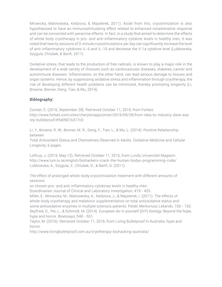Mrowicka, Malinowska, Kedziora, & Majsterek, 2011). Aside from this, cryostimulation is also hypothesized to have an immunostimulating effect related to enhanced noradrenaline response and can be connected with paracrine effects. In fact, in a study that aimed to determine the effects of whole body cryotherapy in pro- and anti-inflammatory cytokine levels in healthy men, it was noted that twenty sessions of 3-minute cryostimulations per day can significantly increase the level of anti-inflammatory cytokines IL-6 and IL-10 and decrease the Il-1a cytokine level (Lubkowska, Szygula, Chlubek, & Banfi, 2011).

Oxidative stress, that leads to the production of free radicals, is known to play a major role in the development of a wide variety of illnesses such as cardiovascular diseases, diabetes, cancer and autoimmune diseases. Inflammation, on the other hand, can lead serious damage to tissues and organ systems. Hence, by suppressing oxidative stress and inflammation through cryotherapy, the risk of developing different health problems can be minimized, thereby promoting longevity (Li, Browne, Bonner, Deng, Tian, & Mu, 2014).

#### **Biblography:**

Conner, C. (2016, September 28). Retrieved October 11, 2016, from Forbes: http://www.forbes.com/sites/cherylsnappconner/2016/09/28/from-idea-to-industry-dave-asp rey-bulletproof/#5e0901b317c0

Li, Y., Browne, R. W., Bonner, M. R., Deng, F., Tian, L., & Mu, L. (2014). Positive Relationship between

Total Antioxidant Status and Chemokines Observed in Adults. Oxidative Medicine and Cellular Longevity, 6 pages.

Loftrup, J. (2015, May 12). Retrieved October 11, 2016, from Lunds Universitet Magasin: http://www.lum.lu.se/english/biohackers-crack-the-human-bodys-programming-code/ Lubkowska, A., Szygula, Z., Chlubek, D., & Banfi, G. (2011).

The effect of prolonged whole-body cryostimulation treatment with different amounts of sessions

on chosen pro- and anti-inflammatory cytokines levels in healthy men.

Scandinavian Journal of Clinical and Laboratory Investigation, 419 - 425.

Miller, E., Mrowicka, M., Malinowska, K., Kedziora, J., & Majsterek, I. (2011). The effects of whole-body cryotherapy and melatonin supplementation on total antioxidative status and some antioxidative enzymes in multiple sclerosis patients. Polski Merkuriusz Lekarski, 150 - 153. Seyfried, G., Pei, L., & Schmidt, M. (2014). European do-it-yourself (DIY) biology: Beyond the hope, hype and horror. Bioessays, 548 - 551.

Taylor, M. (2016). Retrieved October 11, 2016, from Living Bulletproof in Australia: hype and horror.

http://www.livingbulletproof.com.au/cryotherapy-biohacking-australia/